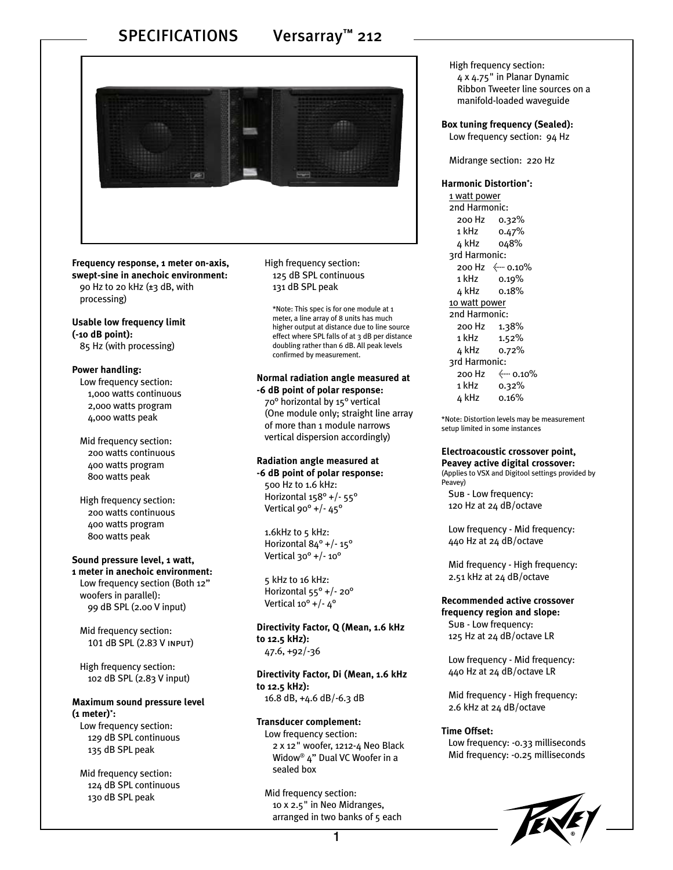

**Frequency response, 1 meter on-axis, swept-sine in anechoic environment:**  90 Hz to 20 kHz (±3 dB, with processing)

#### **Usable low frequency limit (-10 dB point):**

85 Hz (with processing)

#### **Power handling:**

Low frequency section: 1,000 watts continuous 2,000 watts program 4,000 watts peak

Mid frequency section: 200 watts continuous 400 watts program 800 watts peak

High frequency section: 200 watts continuous 400 watts program 800 watts peak

### **Sound pressure level, 1 watt,**

**1 meter in anechoic environment:** Low frequency section (Both 12" woofers in parallel): 99 dB SPL (2.00 V input)

Mid frequency section: 101 dB SPL (2.83 V input)

High frequency section: 102 dB SPL (2.83 V input)

#### **Maximum sound pressure level (1 meter)\* :**

Low frequency section: 129 dB SPL continuous 135 dB SPL peak

Mid frequency section: 124 dB SPL continuous 130 dB SPL peak

High frequency section: 125 dB SPL continuous 131 dB SPL peak

\*Note: This spec is for one module at 1 meter, a line array of 8 units has much higher output at distance due to line source effect where SPL falls of at 3 dB per distance doubling rather than 6 dB. All peak levels confirmed by measurement.

#### **Normal radiation angle measured at -6 dB point of polar response:**

70° horizontal by 15° vertical (One module only; straight line array of more than 1 module narrows vertical dispersion accordingly)

#### **Radiation angle measured at -6 dB point of polar response:**

500 Hz to 1.6 kHz: Horizontal 158° +/- 55° Vertical 90° +/- 45°

1.6kHz to 5 kHz: Horizontal 84° +/- 15° Vertical 30° +/- 10°

5 kHz to 16 kHz: Horizontal 55° +/- 20° Vertical 10° +/- 4°

**Directivity Factor, Q (Mean, 1.6 kHz to 12.5 kHz):** 47.6, +92/-36

**Directivity Factor, Di (Mean, 1.6 kHz to 12.5 kHz):** 16.8 dB, +4.6 dB/-6.3 dB

#### **Transducer complement:** Low frequency section: 2 x 12" woofer, 1212-4 Neo Black Widow<sup>®</sup> 4" Dual VC Woofer in a sealed box

Mid frequency section: 10 x 2.5" in Neo Midranges, arranged in two banks of 5 each High frequency section:

4 x 4.75" in Planar Dynamic Ribbon Tweeter line sources on a manifold-loaded waveguide

**Box tuning frequency (Sealed):** Low frequency section: 94 Hz

Midrange section: 220 Hz

**Harmonic Distortion\* :** 1 watt power 2nd Harmonic: 200 Hz 0.32% 1 kHz 0.47% 4 kHz 048% 3rd Harmonic: 200 Hz  $\leftarrow$  0.10% 1 kHz 0.19% 4 kHz 0.18% 10 watt power 2nd Harmonic: 200 Hz 1.38% 1 kHz 1.52% 4 kHz 0.72% 3rd Harmonic: 200 Hz  $\leftarrow 0.10\%$ 1 kHz 0.32% 4 kHz 0.16%

\*Note: Distortion levels may be measurement setup limited in some instances

### **Electroacoustic crossover point,**

**Peavey active digital crossover:** (Applies to VSX and Digitool settings provided by Peavey) Sub - Low frequency: 120 Hz at 24 dB/octave

 Low frequency - Mid frequency: 440 Hz at 24 dB/octave

 Mid frequency - High frequency: 2.51 kHz at 24 dB/octave

**Recommended active crossover frequency region and slope:** Sub - Low frequency: 125 Hz at 24 dB/octave LR

 Low frequency - Mid frequency: 440 Hz at 24 dB/octave LR

 Mid frequency - High frequency: 2.6 kHz at 24 dB/octave

#### **Time Offset:**

Low frequency: -0.33 milliseconds Mid frequency: -0.25 milliseconds

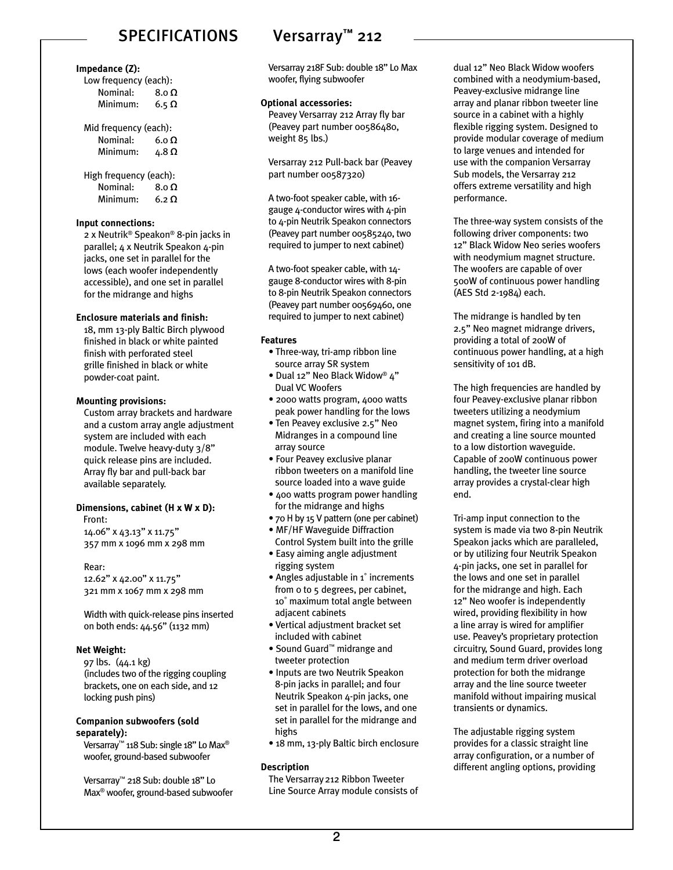#### **Impedance (Z):**

| Low frequency (each): |              |
|-----------------------|--------------|
| Nominal:              | 8.ο Ω        |
| Minimum:              | 6.5 $\Omega$ |
|                       |              |

Mid frequency (each): Nominal: 6.0 **Ω** Minimum: 4.8 **Ω**

High frequency (each): Nominal: 8.0 **Ω** Minimum: 6.2 **Ω**

#### **Input connections:**

2 x Neutrik® Speakon® 8-pin jacks in parallel; 4 x Neutrik Speakon 4-pin jacks, one set in parallel for the lows (each woofer independently accessible), and one set in parallel for the midrange and highs

#### **Enclosure materials and finish:**

18, mm 13-ply Baltic Birch plywood finished in black or white painted finish with perforated steel grille finished in black or white powder-coat paint.

#### **Mounting provisions:**

Custom array brackets and hardware and a custom array angle adjustment system are included with each module. Twelve heavy-duty 3/8" quick release pins are included. Array fly bar and pull-back bar available separately.

#### **Dimensions, cabinet (H x W x D):**

Front: 14.06" x 43.13" x 11.75" 357 mm x 1096 mm x 298 mm

Rear: 12.62" x 42.00" x 11.75" 321 mm x 1067 mm x 298 mm

Width with quick-release pins inserted on both ends: 44.56" (1132 mm)

#### **Net Weight:**

97 lbs. (44.1 kg) (includes two of the rigging coupling brackets, one on each side, and 12 locking push pins)

#### **Companion subwoofers (sold separately):**

Versarray™ 118 Sub: single 18" Lo Max® woofer, ground-based subwoofer

Versarray™ 218 Sub: double 18" Lo Max® woofer, ground-based subwoofer Versarray 218F Sub: double 18" Lo Max woofer, flying subwoofer

#### **Optional accessories:**

Peavey Versarray 212 Array fly bar (Peavey part number 00586480, weight 85 lbs.)

Versarray 212 Pull-back bar (Peavey part number 00587320)

A two-foot speaker cable, with 16 gauge 4-conductor wires with 4-pin to 4-pin Neutrik Speakon connectors (Peavey part number 00585240, two required to jumper to next cabinet)

A two-foot speaker cable, with 14 gauge 8-conductor wires with 8-pin to 8-pin Neutrik Speakon connectors (Peavey part number 00569460, one required to jumper to next cabinet)

#### **Features**

- Three-way, tri-amp ribbon line source array SR system
- Dual 12" Neo Black Widow® 4" Dual VC Woofers
- 2000 watts program, 4000 watts peak power handling for the lows
- Ten Peavey exclusive 2.5" Neo Midranges in a compound line array source
- Four Peavey exclusive planar ribbon tweeters on a manifold line source loaded into a wave guide
- 400 watts program power handling for the midrange and highs
- 70 H by 15 V pattern (one per cabinet)
- MF/HF Waveguide Diffraction Control System built into the grille
- Easy aiming angle adjustment rigging system
- Angles adjustable in 1° increments from 0 to 5 degrees, per cabinet, 10˚ maximum total angle between adiacent cabinets
- Vertical adjustment bracket set included with cabinet
- Sound Guard™ midrange and tweeter protection
- Inputs are two Neutrik Speakon 8-pin jacks in parallel; and four Neutrik Speakon 4-pin jacks, one set in parallel for the lows, and one set in parallel for the midrange and highs
- 18 mm, 13-ply Baltic birch enclosure

#### **Description**

The Versarray 212 Ribbon Tweeter Line Source Array module consists of dual 12" Neo Black Widow woofers combined with a neodymium-based, Peavey-exclusive midrange line array and planar ribbon tweeter line source in a cabinet with a highly flexible rigging system. Designed to provide modular coverage of medium to large venues and intended for use with the companion Versarray Sub models, the Versarray 212 offers extreme versatility and high performance.

The three-way system consists of the following driver components: two 12" Black Widow Neo series woofers with neodymium magnet structure. The woofers are capable of over 500W of continuous power handling (AES Std 2-1984) each.

The midrange is handled by ten 2.5" Neo magnet midrange drivers, providing a total of 200W of continuous power handling, at a high sensitivity of 101 dB.

The high frequencies are handled by four Peavey-exclusive planar ribbon tweeters utilizing a neodymium magnet system, firing into a manifold and creating a line source mounted to a low distortion waveguide. Capable of 200W continuous power handling, the tweeter line source array provides a crystal-clear high end.

Tri-amp input connection to the system is made via two 8-pin Neutrik Speakon jacks which are paralleled, or by utilizing four Neutrik Speakon 4-pin jacks, one set in parallel for the lows and one set in parallel for the midrange and high. Each 12" Neo woofer is independently wired, providing flexibility in how a line array is wired for amplifier use. Peavey's proprietary protection circuitry, Sound Guard, provides long and medium term driver overload protection for both the midrange array and the line source tweeter manifold without impairing musical transients or dynamics.

The adjustable rigging system provides for a classic straight line array configuration, or a number of different angling options, providing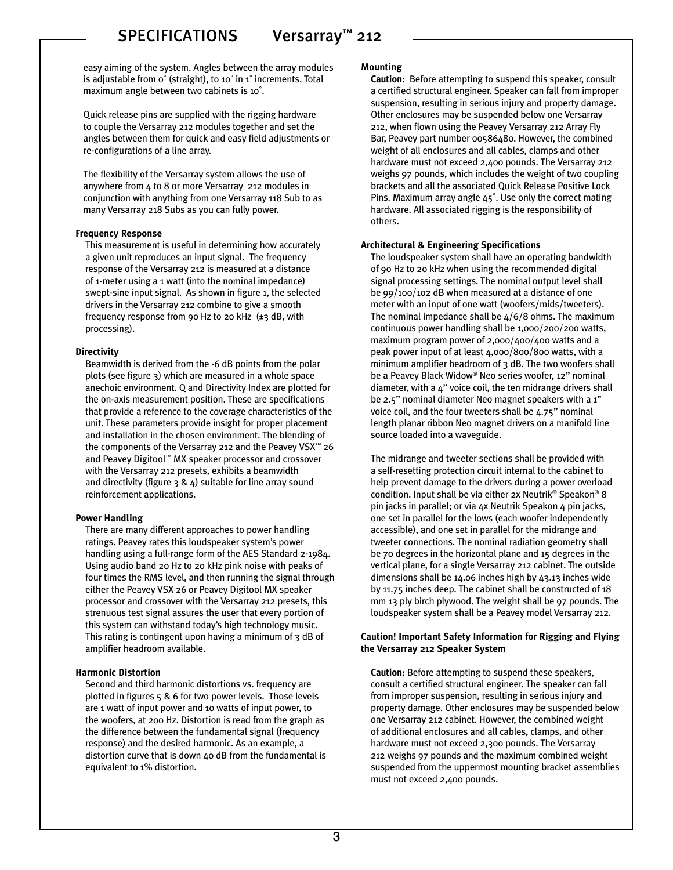easy aiming of the system. Angles between the array modules is adjustable from 0˚ (straight), to 10˚ in 1˚ increments. Total maximum angle between two cabinets is 10˚.

Quick release pins are supplied with the rigging hardware to couple the Versarray 212 modules together and set the angles between them for quick and easy field adjustments or re-configurations of a line array.

The flexibility of the Versarray system allows the use of anywhere from 4 to 8 or more Versarray 212 modules in conjunction with anything from one Versarray 118 Sub to as many Versarray 218 Subs as you can fully power.

#### **Frequency Response**

This measurement is useful in determining how accurately a given unit reproduces an input signal. The frequency response of the Versarray 212 is measured at a distance of 1-meter using a 1 watt (into the nominal impedance) swept-sine input signal. As shown in figure 1, the selected drivers in the Versarray 212 combine to give a smooth frequency response from 90 Hz to 20 kHz  $(\pm 3$  dB, with processing).

#### **Directivity**

Beamwidth is derived from the -6 dB points from the polar plots (see figure 3) which are measured in a whole space anechoic environment. Q and Directivity Index are plotted for the on-axis measurement position. These are specifications that provide a reference to the coverage characteristics of the unit. These parameters provide insight for proper placement and installation in the chosen environment. The blending of the components of the Versarray 212 and the Peavey VSX™ 26 and Peavey Digitool™ MX speaker processor and crossover with the Versarray 212 presets, exhibits a beamwidth and directivity (figure  $3 \& 4$ ) suitable for line array sound reinforcement applications.

#### **Power Handling**

There are many different approaches to power handling ratings. Peavey rates this loudspeaker system's power handling using a full-range form of the AES Standard 2-1984. Using audio band 20 Hz to 20 kHz pink noise with peaks of four times the RMS level, and then running the signal through either the Peavey VSX 26 or Peavey Digitool MX speaker processor and crossover with the Versarray 212 presets, this strenuous test signal assures the user that every portion of this system can withstand today's high technology music. This rating is contingent upon having a minimum of 3 dB of amplifier headroom available.

#### **Harmonic Distortion**

Second and third harmonic distortions vs. frequency are plotted in figures 5 & 6 for two power levels. Those levels are 1 watt of input power and 10 watts of input power, to the woofers, at 200 Hz. Distortion is read from the graph as the difference between the fundamental signal (frequency response) and the desired harmonic. As an example, a distortion curve that is down 40 dB from the fundamental is equivalent to 1% distortion.

#### **Mounting**

**Caution:** Before attempting to suspend this speaker, consult a certified structural engineer. Speaker can fall from improper suspension, resulting in serious injury and property damage. Other enclosures may be suspended below one Versarray 212, when flown using the Peavey Versarray 212 Array Fly Bar, Peavey part number 00586480. However, the combined weight of all enclosures and all cables, clamps and other hardware must not exceed 2,400 pounds. The Versarray 212 weighs 97 pounds, which includes the weight of two coupling brackets and all the associated Quick Release Positive Lock Pins. Maximum array angle 45˚. Use only the correct mating hardware. All associated rigging is the responsibility of others.

#### **Architectural & Engineering Specifications**

The loudspeaker system shall have an operating bandwidth of 90 Hz to 20 kHz when using the recommended digital signal processing settings. The nominal output level shall be 99/100/102 dB when measured at a distance of one meter with an input of one watt (woofers/mids/tweeters). The nominal impedance shall be  $\frac{\Delta}{6}$  ohms. The maximum continuous power handling shall be 1,000/200/200 watts, maximum program power of 2,000/400/400 watts and a peak power input of at least 4,000/800/800 watts, with a minimum amplifier headroom of 3 dB. The two woofers shall be a Peavey Black Widow® Neo series woofer, 12" nominal diameter, with a 4" voice coil, the ten midrange drivers shall be 2.5" nominal diameter Neo magnet speakers with a 1" voice coil, and the four tweeters shall be 4.75" nominal length planar ribbon Neo magnet drivers on a manifold line source loaded into a waveguide.

The midrange and tweeter sections shall be provided with a self-resetting protection circuit internal to the cabinet to help prevent damage to the drivers during a power overload condition. Input shall be via either 2x Neutrik® Speakon® 8 pin jacks in parallel; or via 4x Neutrik Speakon 4 pin jacks, one set in parallel for the lows (each woofer independently accessible), and one set in parallel for the midrange and tweeter connections. The nominal radiation geometry shall be 70 degrees in the horizontal plane and 15 degrees in the vertical plane, for a single Versarray 212 cabinet. The outside dimensions shall be 14.06 inches high by 43.13 inches wide by 11.75 inches deep. The cabinet shall be constructed of 18 mm 13 ply birch plywood. The weight shall be 97 pounds. The loudspeaker system shall be a Peavey model Versarray 212.

#### **Caution! Important Safety Information for Rigging and Flying the Versarray 212 Speaker System**

**Caution:** Before attempting to suspend these speakers, consult a certified structural engineer. The speaker can fall from improper suspension, resulting in serious injury and property damage. Other enclosures may be suspended below one Versarray 212 cabinet. However, the combined weight of additional enclosures and all cables, clamps, and other hardware must not exceed 2,300 pounds. The Versarray 212 weighs 97 pounds and the maximum combined weight suspended from the uppermost mounting bracket assemblies must not exceed 2,400 pounds.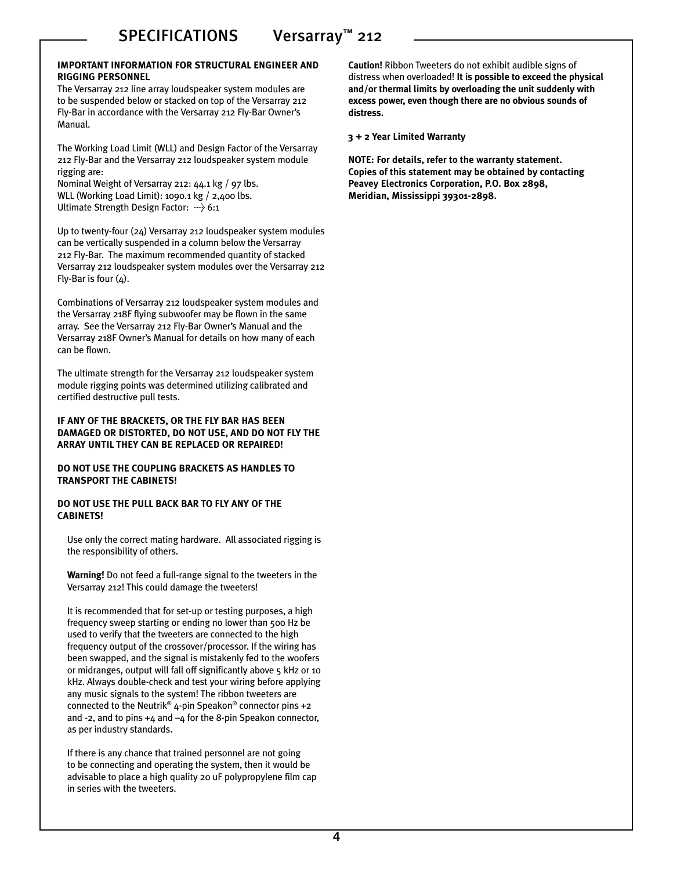#### **Important Information for Structural Engineer and Rigging Personnel**

The Versarray 212 line array loudspeaker system modules are to be suspended below or stacked on top of the Versarray 212 Fly-Bar in accordance with the Versarray 212 Fly-Bar Owner's Manual.

The Working Load Limit (WLL) and Design Factor of the Versarray 212 Fly-Bar and the Versarray 212 loudspeaker system module rigging are:

Nominal Weight of Versarray 212: 44.1 kg / 97 lbs. WLL (Working Load Limit): 1090.1 kg / 2,400 lbs. Ultimate Strength Design Factor: -----> 6:1

Up to twenty-four (24) Versarray 212 loudspeaker system modules can be vertically suspended in a column below the Versarray 212 Fly-Bar. The maximum recommended quantity of stacked Versarray 212 loudspeaker system modules over the Versarray 212 Fly-Bar is four  $(4)$ .

Combinations of Versarray 212 loudspeaker system modules and the Versarray 218F flying subwoofer may be flown in the same array. See the Versarray 212 Fly-Bar Owner's Manual and the Versarray 218F Owner's Manual for details on how many of each can be flown.

The ultimate strength for the Versarray 212 loudspeaker system module rigging points was determined utilizing calibrated and certified destructive pull tests.

#### **IF ANY OF THE BRACKETS, OR THE FLY BAR HAS BEEN DAMAGED OR DISTORTED, DO NOT USE, AND DO NOT FLY THE ARRAY UNTIL THEY CAN BE REPLACED OR REPAIRED!**

#### **DO NOT USE THE COUPLING BRACKETS AS HANDLES TO TRANSPORT THE CABINETS!**

#### **DO NOT USE THE PULL BACK BAR TO FLY ANY OF THE CABINETS!**

Use only the correct mating hardware. All associated rigging is the responsibility of others.

**Warning!** Do not feed a full-range signal to the tweeters in the Versarray 212! This could damage the tweeters!

It is recommended that for set-up or testing purposes, a high frequency sweep starting or ending no lower than 500 Hz be used to verify that the tweeters are connected to the high frequency output of the crossover/processor. If the wiring has been swapped, and the signal is mistakenly fed to the woofers or midranges, output will fall off significantly above 5 kHz or 10 kHz. Always double-check and test your wiring before applying any music signals to the system! The ribbon tweeters are connected to the Neutrik® 4-pin Speakon® connector pins +2 and -2, and to pins +4 and –4 for the 8-pin Speakon connector, as per industry standards.

If there is any chance that trained personnel are not going to be connecting and operating the system, then it would be advisable to place a high quality 20 uF polypropylene film cap in series with the tweeters.

**Caution!** Ribbon Tweeters do not exhibit audible signs of distress when overloaded! **It is possible to exceed the physical and/or thermal limits by overloading the unit suddenly with excess power, even though there are no obvious sounds of distress.**

#### **3 + 2 Year Limited Warranty**

**NOTE: For details, refer to the warranty statement. Copies of this statement may be obtained by contacting Peavey Electronics Corporation, P.O. Box 2898, Meridian, Mississippi 39301-2898.**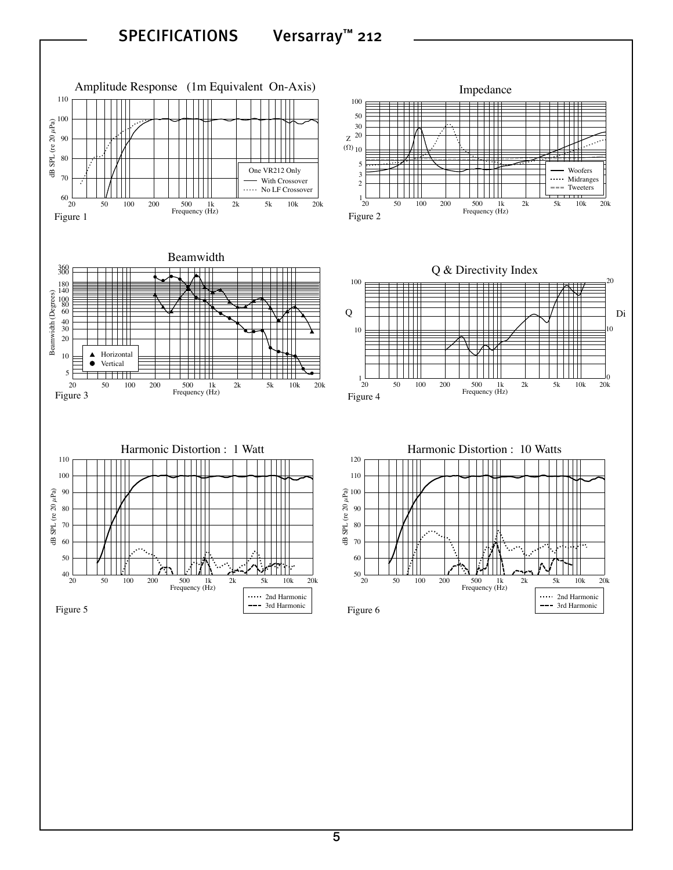

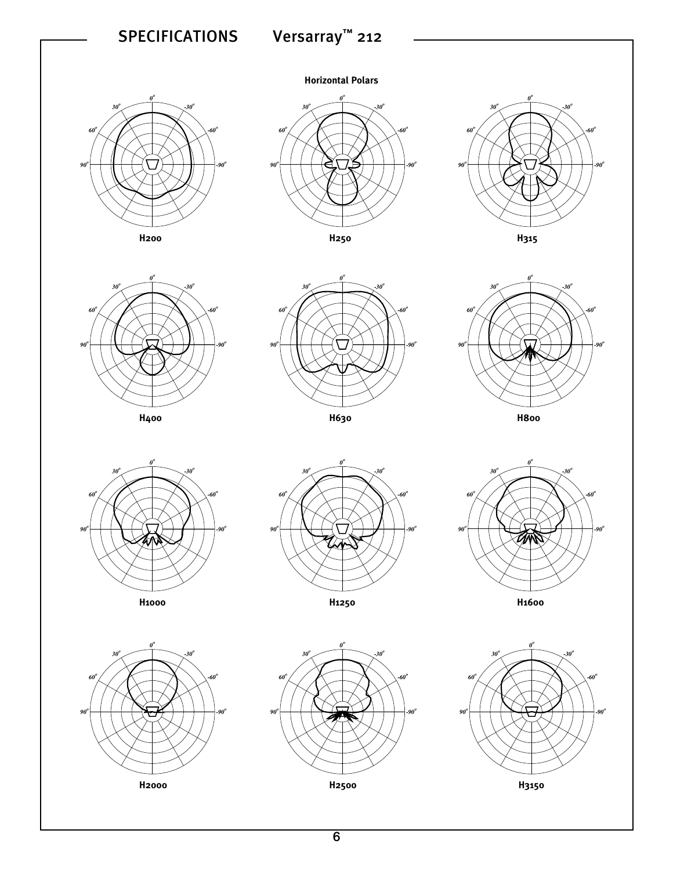





**Horizontal Polars**





**H400**





**H800**





*0 o*







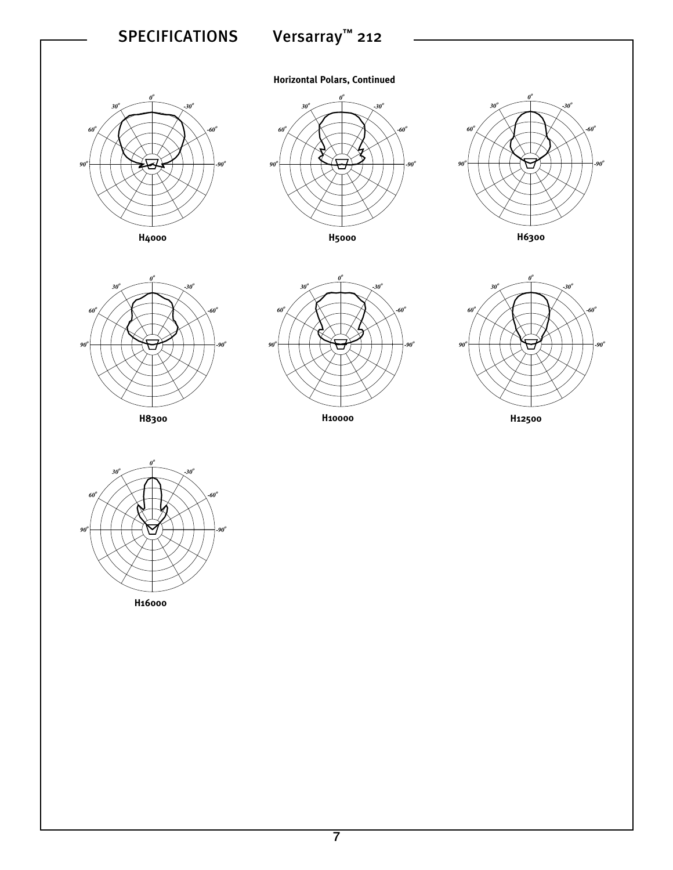### **Horizontal Polars, Continued**











**H8300**





**H12500**

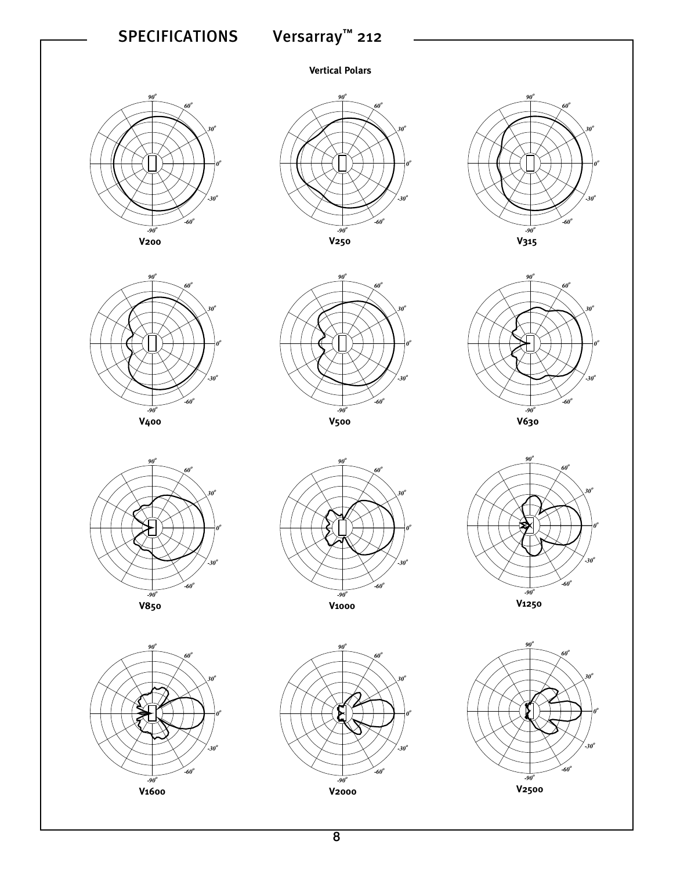**Vertical Polars**























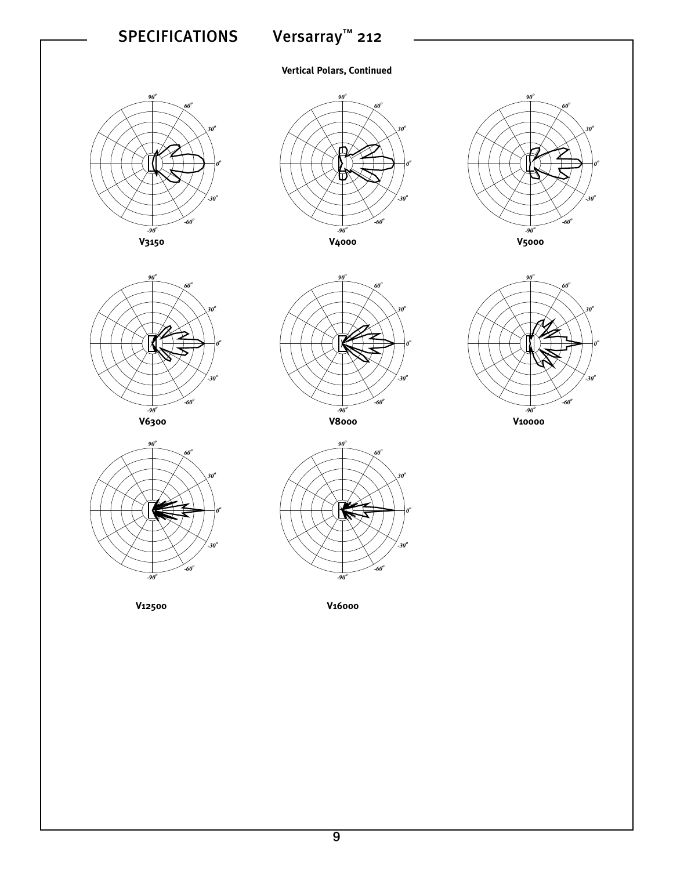**Vertical Polars, Continued**



















**V12500**

**V16000**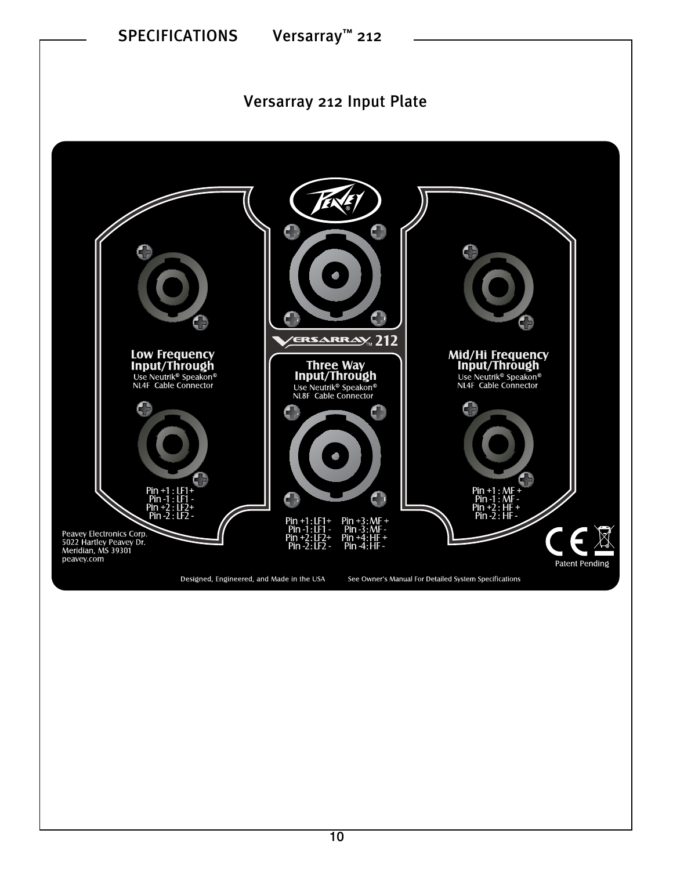

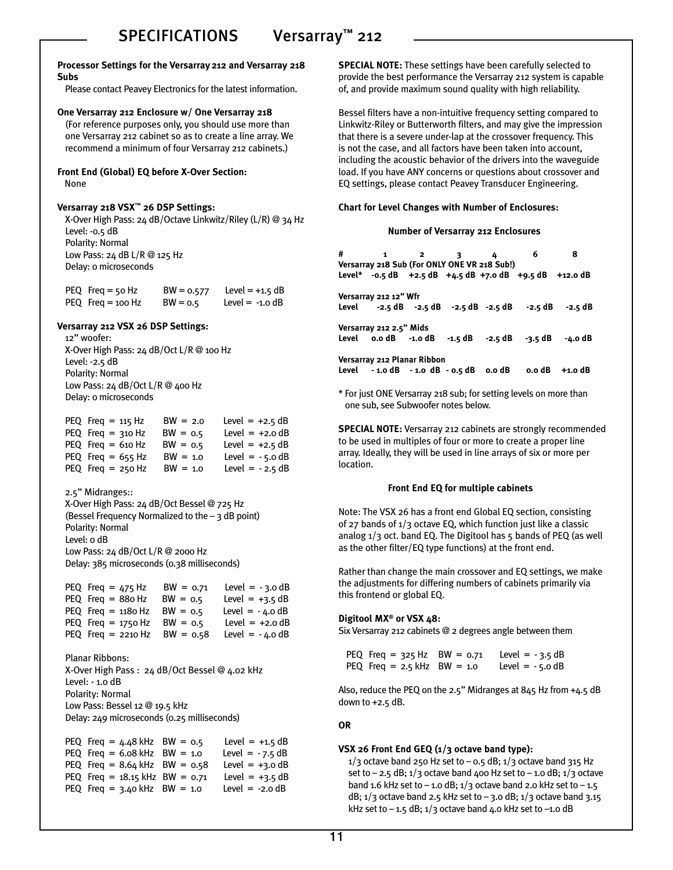#### **Processor Settings for the Versarray 212 and Versarray 218 Subs**

Please contact Peavey Electronics for the latest information.

#### **One Versarray 212 Enclosure w/ One Versarray 218**

(For reference purposes only, you should use more than one Versarray 212 cabinet so as to create a line array. We recommend a minimum of four Versarray 212 cabinets.)

#### **Front End (Global) EQ before X-Over Section:** None

#### **Versarray 218 VSX™ 26 DSP Settings:**

X-Over High Pass: 24 dB/Octave Linkwitz/Riley (L/R) @ 34 Hz Level: -0.5 dB Polarity: Normal Low Pass: 24 dB L/R @ 125 Hz Delay: 0 microseconds

| PEQ Freq = $50$ Hz | $BW = 0.577$ | Level = $+1.5$ dB |
|--------------------|--------------|-------------------|
| PEQ Freq = 100 Hz  | $BW = 0.5$   | Level $= -1.0$ dB |

#### **Versarray 212 VSX 26 DSP Settings:**

12" woofer: X-Over High Pass: 24 dB/Oct L/R @ 100 Hz Level: -2.5 dB Polarity: Normal Low Pass: 24 dB/Oct L/R @ 400 Hz Delay: 0 microseconds

| PEQ Freq $= 115$ Hz | $BW = 2.0$ | Level = $+2.5$ dB |
|---------------------|------------|-------------------|
| PEQ Freq $=$ 310 Hz | $BW = 0.5$ | Level = $+2.0$ dB |
| PEQ Freq $= 610$ Hz | $BW = 0.5$ | Level = $+2.5$ dB |
| PEQ Freq = $655$ Hz | $BW = 1.0$ | Level = $-5.0$ dB |
| PEQ Freq $= 250$ Hz | $BW = 1.0$ | Level = $-2.5$ dB |
|                     |            |                   |

#### 2.5" Midranges::

X-Over High Pass: 24 dB/Oct Bessel @ 725 Hz (Bessel Frequency Normalized to the  $-$  3 dB point) Polarity: Normal Level: 0 dB Low Pass: 24 dB/Oct L/R @ 2000 Hz Delay: 385 microseconds (0.38 milliseconds)

| PEQ Freq = $475$ Hz              | $BW = 0.71$ | Level = $-3.0$ dB |
|----------------------------------|-------------|-------------------|
| PEQ Freq $= 88$ o Hz             | $BW = 0.5$  | Level = $+3.5$ dB |
| PEQ Freq $= 1180$ Hz             | $BW = 0.5$  | Level = $-4.0$ dB |
| PEQ Freq $= 1750$ Hz             | $BW = 0.5$  | Level = $+2.0$ dB |
| PEQ Freq = $2210$ Hz BW = $0.58$ |             | Level = $-4.0$ dB |

### Planar Ribbons:

X-Over High Pass : 24 dB/Oct Bessel @ 4.02 kHz Level: - 1.0 dB Polarity: Normal Low Pass: Bessel 12 @ 19.5 kHz Delay: 249 microseconds (0.25 milliseconds)

```
PEQ Freq = 4.48 kHz BW = 0.5 Level = +1.5 dB
PEQ Freq = 6.08 kHz BW = 1.0 Level = -7.5 dB
PEQ Freq = 8.64 kHz BW = 0.58 Level = +3.0 dB
PEQ Freq = 18.15 kHz BW = 0.71 Level = +3.5 dB
PEQ Freq = 3.40 \text{ kHz} BW = 1.0 Level = -2.0 \text{ dB}
```
**SPECIAL NOTE:** These settings have been carefully selected to provide the best performance the Versarray 212 system is capable of, and provide maximum sound quality with high reliability.

Bessel filters have a non-intuitive frequency setting compared to Linkwitz-Riley or Butterworth filters, and may give the impression that there is a severe under-lap at the crossover frequency. This is not the case, and all factors have been taken into account, including the acoustic behavior of the drivers into the waveguide load. If you have ANY concerns or questions about crossover and EQ settings, please contact Peavey Transducer Engineering.

#### **Chart for Level Changes with Number of Enclosures:**

#### **Number of Versarray 212 Enclosures**

**# 1 2 3 4 6 8 Versarray 218 Sub (For ONLY ONE VR 218 Sub!) Level\* -0.5 dB +2.5 dB +4.5 dB +7.0 dB +9.5 dB +12.0 dB Versarray 212 12" Wfr Level -2.5 dB -2.5 dB -2.5 dB -2.5 dB -2.5 dB -2.5 dB Versarray 212 2.5" Mids Level 0.0 dB -1.0 dB -1.5 dB -2.5 dB -3.5 dB -4.0 dB Versarray 212 Planar Ribbon Level - 1.0 dB - 1.0 dB - 0.5 dB 0.0 dB 0.0 dB +1.0 dB**

\* For just ONE Versarray 218 sub; for setting levels on more than one sub, see Subwoofer notes below.

**SPECIAL NOTE:** Versarray 212 cabinets are strongly recommended to be used in multiples of four or more to create a proper line array. Ideally, they will be used in line arrays of six or more per location.

#### **Front End EQ for multiple cabinets**

Note: The VSX 26 has a front end Global EQ section, consisting of 27 bands of 1/3 octave EQ, which function just like a classic analog  $1/3$  oct. band EQ. The Digitool has  $5$  bands of PEQ (as well as the other filter/EQ type functions) at the front end.

Rather than change the main crossover and EQ settings, we make the adjustments for differing numbers of cabinets primarily via this frontend or global EQ.

#### **Digitool MX® or VSX 48:**

Six Versarray 212 cabinets @ 2 degrees angle between them

| PEQ Freq = $325$ Hz BW = $0.71$ | Level = $-3.5$ dB |
|---------------------------------|-------------------|
| PEQ Freq = $2.5$ kHz BW = $1.0$ | Level = $-5.0$ dB |

Also, reduce the PEQ on the 2.5" Midranges at 845 Hz from +4.5 dB down to +2.5 dB.

#### **OR**

#### **VSX 26 Front End GEQ (1/3 octave band type):**

 $1/3$  octave band 250 Hz set to - 0.5 dB;  $1/3$  octave band 315 Hz set to  $-$  2.5 dB;  $1/3$  octave band 400 Hz set to  $-$  1.0 dB;  $1/3$  octave band 1.6 kHz set to  $-$  1.0 dB;  $1/3$  octave band 2.0 kHz set to  $-$  1.5 dB;  $1/3$  octave band 2.5 kHz set to - 3.0 dB;  $1/3$  octave band 3.15 kHz set to  $-1.5$  dB;  $1/3$  octave band 4.0 kHz set to  $-1.0$  dB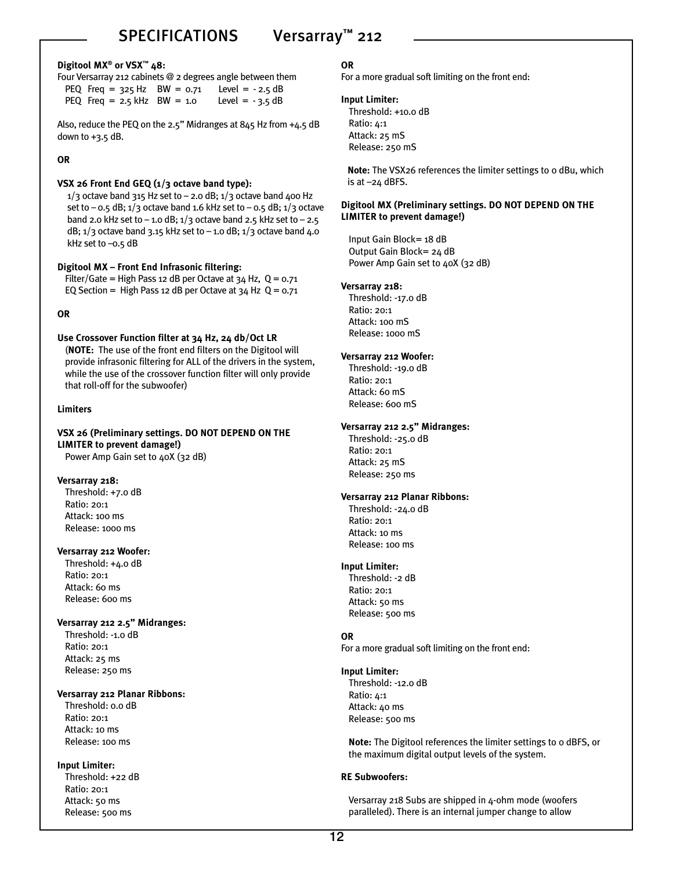#### **Digitool MX® or VSX™ 48:**

Four Versarray 212 cabinets @ 2 degrees angle between them PEQ Freq =  $325$  Hz BW =  $0.71$  Level =  $-2.5$  dB PEQ Freq = 2.5 kHz  $BW = 1.0$  Level =  $-3.5$  dB

Also, reduce the PEQ on the 2.5" Midranges at 845 Hz from +4.5 dB down to  $+3.5$  dB.

**OR**

### **VSX 26 Front End GEQ (1/3 octave band type):**

 $1/3$  octave band 315 Hz set to - 2.0 dB;  $1/3$  octave band 400 Hz set to  $-$  0.5 dB;  $1/3$  octave band 1.6 kHz set to  $-$  0.5 dB;  $1/3$  octave band 2.0 kHz set to  $-$  1.0 dB;  $1/3$  octave band 2.5 kHz set to  $-$  2.5 dB;  $1/3$  octave band 3.15 kHz set to  $-1.0$  dB;  $1/3$  octave band 4.0 kHz set to –0.5 dB

#### **Digitool MX – Front End Infrasonic filtering:**

that roll-off for the subwoofer)

Filter/Gate = High Pass 12 dB per Octave at 34 Hz,  $Q = 0.71$ EQ Section = High Pass 12 dB per Octave at  $34$  Hz  $Q = 0.71$ 

#### **OR**

#### **Use Crossover Function filter at 34 Hz, 24 db/Oct LR** (**NOTE:** The use of the front end filters on the Digitool will provide infrasonic filtering for ALL of the drivers in the system, while the use of the crossover function filter will only provide

#### **Limiters**

#### **VSX 26 (Preliminary settings. DO NOT DEPEND ON THE LIMITER to prevent damage!)** Power Amp Gain set to 40X (32 dB)

#### **Versarray 218:**

Threshold: +7.0 dB Ratio: 20:1 Attack: 100 ms Release: 1000 ms

#### **Versarray 212 Woofer:**

Threshold: +4.0 dB Ratio: 20:1 Attack: 60 ms Release: 600 ms

#### **Versarray 212 2.5" Midranges:**

Threshold: -1.0 dB Ratio: 20:1 Attack: 25 ms Release: 250 ms

#### **Versarray 212 Planar Ribbons:**

Threshold: 0.0 dB Ratio: 20:1 Attack: 10 ms Release: 100 ms

#### **Input Limiter:**

Threshold: +22 dB Ratio: 20:1 Attack: 50 ms Release: 500 ms

#### **OR**

For a more gradual soft limiting on the front end:

#### **Input Limiter:**

Threshold: +10.0 dB Ratio: 4:1 Attack: 25 mS Release: 250 mS

**Note:** The VSX26 references the limiter settings to 0 dBu, which is at –24 dBFS.

#### **Digitool MX (Preliminary settings. DO NOT DEPEND ON THE LIMITER to prevent damage!)**

Input Gain Block= 18 dB Output Gain Block= 24 dB Power Amp Gain set to 40X (32 dB)

#### **Versarray 218:**

Threshold: -17.0 dB Ratio: 20:1 Attack: 100 mS Release: 1000 mS

#### **Versarray 212 Woofer:**

Threshold: -19.0 dB Ratio: 20:1 Attack: 60 mS Release: 600 mS

#### **Versarray 212 2.5" Midranges:**

Threshold: -25.0 dB Ratio: 20:1 Attack: 25 mS Release: 250 ms

#### **Versarray 212 Planar Ribbons:**

Threshold: -24.0 dB Ratio: 20:1 Attack: 10 ms Release: 100 ms

#### **Input Limiter:**

Threshold: -2 dB Ratio: 20:1 Attack: 50 ms Release: 500 ms

#### **OR**

For a more gradual soft limiting on the front end:

#### **Input Limiter:**

Threshold: -12.0 dB Ratio: 4:1 Attack: 40 ms Release: 500 ms

**Note:** The Digitool references the limiter settings to 0 dBFS, or the maximum digital output levels of the system.

#### **RE Subwoofers:**

Versarray 218 Subs are shipped in 4-ohm mode (woofers paralleled). There is an internal jumper change to allow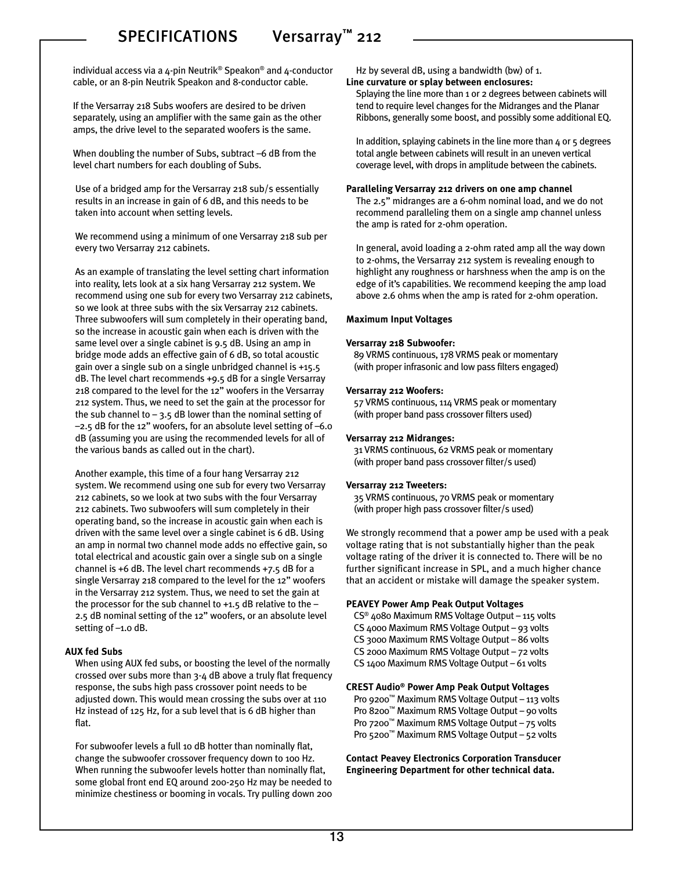individual access via a 4-pin Neutrik® Speakon® and 4-conductor cable, or an 8-pin Neutrik Speakon and 8-conductor cable.

If the Versarray 218 Subs woofers are desired to be driven separately, using an amplifier with the same gain as the other amps, the drive level to the separated woofers is the same.

When doubling the number of Subs, subtract –6 dB from the level chart numbers for each doubling of Subs.

Use of a bridged amp for the Versarray 218 sub/s essentially results in an increase in gain of 6 dB, and this needs to be taken into account when setting levels.

We recommend using a minimum of one Versarray 218 sub per every two Versarray 212 cabinets.

As an example of translating the level setting chart information into reality, lets look at a six hang Versarray 212 system. We recommend using one sub for every two Versarray 212 cabinets, so we look at three subs with the six Versarray 212 cabinets. Three subwoofers will sum completely in their operating band, so the increase in acoustic gain when each is driven with the same level over a single cabinet is 9.5 dB. Using an amp in bridge mode adds an effective gain of 6 dB, so total acoustic gain over a single sub on a single unbridged channel is +15.5 dB. The level chart recommends +9.5 dB for a single Versarray 218 compared to the level for the 12" woofers in the Versarray 212 system. Thus, we need to set the gain at the processor for the sub channel to  $-$  3.5 dB lower than the nominal setting of –2.5 dB for the 12" woofers, for an absolute level setting of –6.0 dB (assuming you are using the recommended levels for all of the various bands as called out in the chart).

Another example, this time of a four hang Versarray 212 system. We recommend using one sub for every two Versarray 212 cabinets, so we look at two subs with the four Versarray 212 cabinets. Two subwoofers will sum completely in their operating band, so the increase in acoustic gain when each is driven with the same level over a single cabinet is 6 dB. Using an amp in normal two channel mode adds no effective gain, so total electrical and acoustic gain over a single sub on a single channel is +6 dB. The level chart recommends +7.5 dB for a single Versarray 218 compared to the level for the 12" woofers in the Versarray 212 system. Thus, we need to set the gain at the processor for the sub channel to +1.5 dB relative to the  $-$ 2.5 dB nominal setting of the 12" woofers, or an absolute level setting of –1.0 dB.

#### **AUX fed Subs**

When using AUX fed subs, or boosting the level of the normally crossed over subs more than 3-4 dB above a truly flat frequency response, the subs high pass crossover point needs to be adjusted down. This would mean crossing the subs over at 110 Hz instead of 125 Hz, for a sub level that is 6 dB higher than flat.

For subwoofer levels a full 10 dB hotter than nominally flat, change the subwoofer crossover frequency down to 100 Hz. When running the subwoofer levels hotter than nominally flat, some global front end EQ around 200-250 Hz may be needed to minimize chestiness or booming in vocals. Try pulling down 200 Hz by several dB, using a bandwidth (bw) of 1.

#### **Line curvature or splay between enclosures:**

Splaying the line more than 1 or 2 degrees between cabinets will tend to require level changes for the Midranges and the Planar Ribbons, generally some boost, and possibly some additional EQ.

In addition, splaying cabinets in the line more than  $4$  or  $5$  degrees total angle between cabinets will result in an uneven vertical coverage level, with drops in amplitude between the cabinets.

#### **Paralleling Versarray 212 drivers on one amp channel**

The 2.5" midranges are a 6-ohm nominal load, and we do not recommend paralleling them on a single amp channel unless the amp is rated for 2-ohm operation.

In general, avoid loading a 2-ohm rated amp all the way down to 2-ohms, the Versarray 212 system is revealing enough to highlight any roughness or harshness when the amp is on the edge of it's capabilities. We recommend keeping the amp load above 2.6 ohms when the amp is rated for 2-ohm operation.

#### **Maximum Input Voltages**

#### **Versarray 218 Subwoofer:**

89 VRMS continuous, 178 VRMS peak or momentary (with proper infrasonic and low pass filters engaged)

#### **Versarray 212 Woofers:**

57 VRMS continuous, 114 VRMS peak or momentary (with proper band pass crossover filters used)

#### **Versarray 212 Midranges:**

31 VRMS continuous, 62 VRMS peak or momentary (with proper band pass crossover filter/s used)

#### **Versarray 212 Tweeters:**

35 VRMS continuous, 70 VRMS peak or momentary (with proper high pass crossover filter/s used)

We strongly recommend that a power amp be used with a peak voltage rating that is not substantially higher than the peak voltage rating of the driver it is connected to. There will be no further significant increase in SPL, and a much higher chance that an accident or mistake will damage the speaker system.

#### **PEAVEY Power Amp Peak Output Voltages**

CS® 4080 Maximum RMS Voltage Output – 115 volts CS 4000 Maximum RMS Voltage Output – 93 volts CS 3000 Maximum RMS Voltage Output – 86 volts CS 2000 Maximum RMS Voltage Output – 72 volts CS 1400 Maximum RMS Voltage Output – 61 volts

#### **CREST Audio® Power Amp Peak Output Voltages**

Pro 9200™ Maximum RMS Voltage Output – 113 volts Pro 8200™ Maximum RMS Voltage Output – 90 volts Pro 7200™ Maximum RMS Voltage Output – 75 volts Pro 5200™ Maximum RMS Voltage Output – 52 volts

**Contact Peavey Electronics Corporation Transducer Engineering Department for other technical data.**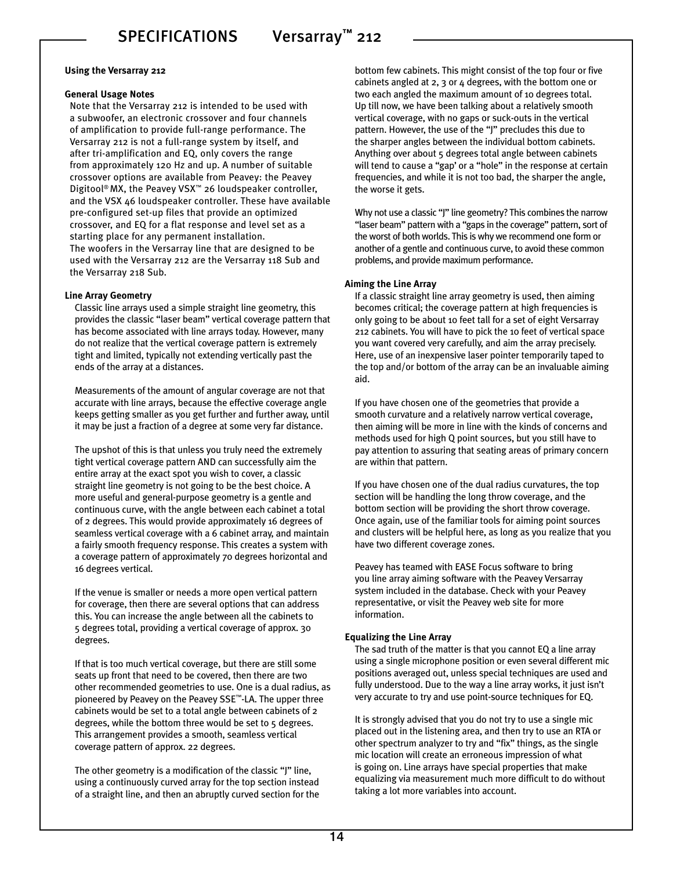#### **Using the Versarray 212**

#### **General Usage Notes**

Note that the Versarray 212 is intended to be used with a subwoofer, an electronic crossover and four channels of amplification to provide full-range performance. The Versarray 212 is not a full-range system by itself, and after tri-amplification and EQ, only covers the range from approximately 120 Hz and up. A number of suitable crossover options are available from Peavey: the Peavey Digitool® MX, the Peavey VSX™ 26 loudspeaker controller, and the VSX 46 loudspeaker controller. These have available pre-configured set-up files that provide an optimized crossover, and EQ for a flat response and level set as a starting place for any permanent installation. The woofers in the Versarray line that are designed to be used with the Versarray 212 are the Versarray 118 Sub and the Versarray 218 Sub.

#### **Line Array Geometry**

Classic line arrays used a simple straight line geometry, this provides the classic "laser beam" vertical coverage pattern that has become associated with line arrays today. However, many do not realize that the vertical coverage pattern is extremely tight and limited, typically not extending vertically past the ends of the array at a distances.

Measurements of the amount of angular coverage are not that accurate with line arrays, because the effective coverage angle keeps getting smaller as you get further and further away, until it may be just a fraction of a degree at some very far distance.

The upshot of this is that unless you truly need the extremely tight vertical coverage pattern AND can successfully aim the entire array at the exact spot you wish to cover, a classic straight line geometry is not going to be the best choice. A more useful and general-purpose geometry is a gentle and continuous curve, with the angle between each cabinet a total of 2 degrees. This would provide approximately 16 degrees of seamless vertical coverage with a 6 cabinet array, and maintain a fairly smooth frequency response. This creates a system with a coverage pattern of approximately 70 degrees horizontal and 16 degrees vertical.

If the venue is smaller or needs a more open vertical pattern for coverage, then there are several options that can address this. You can increase the angle between all the cabinets to 5 degrees total, providing a vertical coverage of approx. 30 degrees.

If that is too much vertical coverage, but there are still some seats up front that need to be covered, then there are two other recommended geometries to use. One is a dual radius, as pioneered by Peavey on the Peavey SSE™-LA. The upper three cabinets would be set to a total angle between cabinets of 2 degrees, while the bottom three would be set to 5 degrees. This arrangement provides a smooth, seamless vertical coverage pattern of approx. 22 degrees.

The other geometry is a modification of the classic "J" line, using a continuously curved array for the top section instead of a straight line, and then an abruptly curved section for the bottom few cabinets. This might consist of the top four or five cabinets angled at 2, 3 or 4 degrees, with the bottom one or two each angled the maximum amount of 10 degrees total. Up till now, we have been talking about a relatively smooth vertical coverage, with no gaps or suck-outs in the vertical pattern. However, the use of the "J" precludes this due to the sharper angles between the individual bottom cabinets. Anything over about 5 degrees total angle between cabinets will tend to cause a "gap' or a "hole" in the response at certain frequencies, and while it is not too bad, the sharper the angle, the worse it gets.

Why not use a classic "J" line geometry? This combines the narrow "laser beam" pattern with a "gaps in the coverage" pattern, sort of the worst of both worlds. This is why we recommend one form or another of a gentle and continuous curve, to avoid these common problems, and provide maximum performance.

#### **Aiming the Line Array**

If a classic straight line array geometry is used, then aiming becomes critical; the coverage pattern at high frequencies is only going to be about 10 feet tall for a set of eight Versarray 212 cabinets. You will have to pick the 10 feet of vertical space you want covered very carefully, and aim the array precisely. Here, use of an inexpensive laser pointer temporarily taped to the top and/or bottom of the array can be an invaluable aiming aid.

If you have chosen one of the geometries that provide a smooth curvature and a relatively narrow vertical coverage, then aiming will be more in line with the kinds of concerns and methods used for high Q point sources, but you still have to pay attention to assuring that seating areas of primary concern are within that pattern.

If you have chosen one of the dual radius curvatures, the top section will be handling the long throw coverage, and the bottom section will be providing the short throw coverage. Once again, use of the familiar tools for aiming point sources and clusters will be helpful here, as long as you realize that you have two different coverage zones.

Peavey has teamed with EASE Focus software to bring you line array aiming software with the Peavey Versarray system included in the database. Check with your Peavey representative, or visit the Peavey web site for more information.

#### **Equalizing the Line Array**

The sad truth of the matter is that you cannot EQ a line array using a single microphone position or even several different mic positions averaged out, unless special techniques are used and fully understood. Due to the way a line array works, it just isn't very accurate to try and use point-source techniques for EQ.

It is strongly advised that you do not try to use a single mic placed out in the listening area, and then try to use an RTA or other spectrum analyzer to try and "fix" things, as the single mic location will create an erroneous impression of what is going on. Line arrays have special properties that make equalizing via measurement much more difficult to do without taking a lot more variables into account.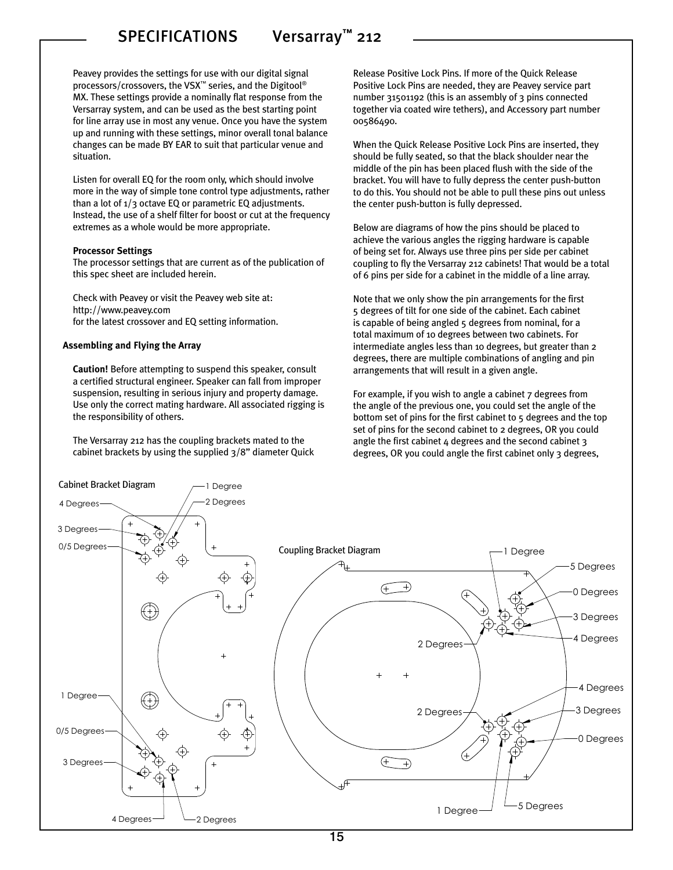Peavey provides the settings for use with our digital signal processors/crossovers, the VSX™ series, and the Digitool® MX. These settings provide a nominally flat response from the Versarray system, and can be used as the best starting point for line array use in most any venue. Once you have the system up and running with these settings, minor overall tonal balance changes can be made BY EAR to suit that particular venue and situation.

Listen for overall EQ for the room only, which should involve more in the way of simple tone control type adjustments, rather than a lot of  $1/3$  octave EQ or parametric EQ adjustments. Instead, the use of a shelf filter for boost or cut at the frequency extremes as a whole would be more appropriate.

#### **Processor Settings**

The processor settings that are current as of the publication of this spec sheet are included herein.

Check with Peavey or visit the Peavey web site at: http://www.peavey.com for the latest crossover and EQ setting information.

#### **Assembling and Flying the Array**

**Caution!** Before attempting to suspend this speaker, consult a certified structural engineer. Speaker can fall from improper suspension, resulting in serious injury and property damage. Use only the correct mating hardware. All associated rigging is the responsibility of others.

The Versarray 212 has the coupling brackets mated to the cabinet brackets by using the supplied 3/8" diameter Quick Release Positive Lock Pins. If more of the Quick Release Positive Lock Pins are needed, they are Peavey service part number 31501192 (this is an assembly of 3 pins connected together via coated wire tethers), and Accessory part number 00586490.

When the Quick Release Positive Lock Pins are inserted, they should be fully seated, so that the black shoulder near the middle of the pin has been placed flush with the side of the bracket. You will have to fully depress the center push-button to do this. You should not be able to pull these pins out unless the center push-button is fully depressed.

Below are diagrams of how the pins should be placed to achieve the various angles the rigging hardware is capable of being set for. Always use three pins per side per cabinet coupling to fly the Versarray 212 cabinets! That would be a total of 6 pins per side for a cabinet in the middle of a line array.

Note that we only show the pin arrangements for the first 5 degrees of tilt for one side of the cabinet. Each cabinet is capable of being angled 5 degrees from nominal, for a total maximum of 10 degrees between two cabinets. For intermediate angles less than 10 degrees, but greater than 2 degrees, there are multiple combinations of angling and pin arrangements that will result in a given angle.

For example, if you wish to angle a cabinet 7 degrees from the angle of the previous one, you could set the angle of the bottom set of pins for the first cabinet to 5 degrees and the top set of pins for the second cabinet to 2 degrees, OR you could angle the first cabinet  $4$  degrees and the second cabinet  $3$ degrees, OR you could angle the first cabinet only 3 degrees,

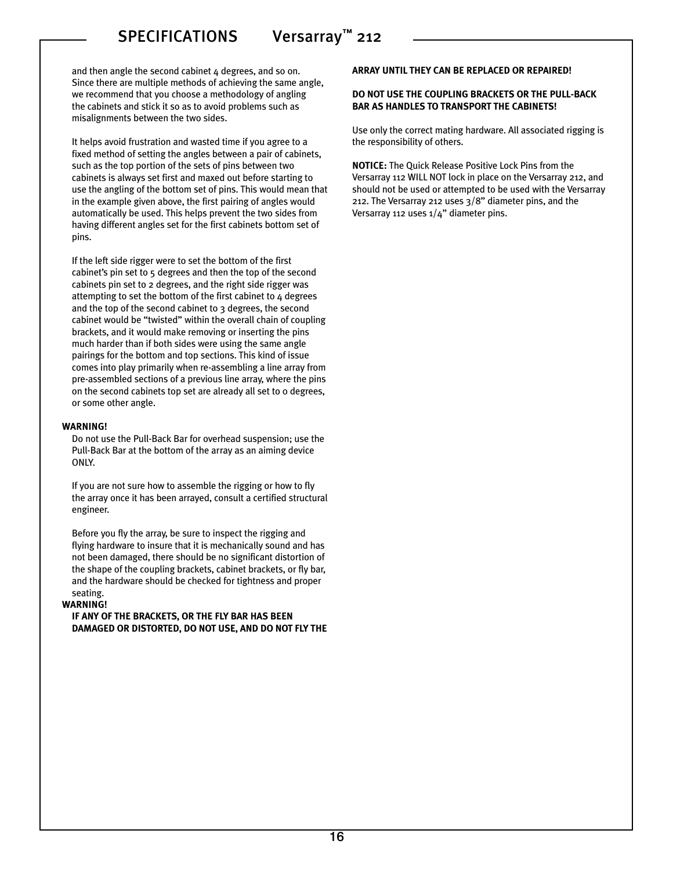and then angle the second cabinet 4 degrees, and so on. Since there are multiple methods of achieving the same angle, we recommend that you choose a methodology of angling the cabinets and stick it so as to avoid problems such as misalignments between the two sides.

It helps avoid frustration and wasted time if you agree to a fixed method of setting the angles between a pair of cabinets, such as the top portion of the sets of pins between two cabinets is always set first and maxed out before starting to use the angling of the bottom set of pins. This would mean that in the example given above, the first pairing of angles would automatically be used. This helps prevent the two sides from having different angles set for the first cabinets bottom set of pins.

If the left side rigger were to set the bottom of the first cabinet's pin set to 5 degrees and then the top of the second cabinets pin set to 2 degrees, and the right side rigger was attempting to set the bottom of the first cabinet to  $4$  degrees and the top of the second cabinet to 3 degrees, the second cabinet would be "twisted" within the overall chain of coupling brackets, and it would make removing or inserting the pins much harder than if both sides were using the same angle pairings for the bottom and top sections. This kind of issue comes into play primarily when re-assembling a line array from pre-assembled sections of a previous line array, where the pins on the second cabinets top set are already all set to 0 degrees, or some other angle.

#### **WARNING!**

Do not use the Pull-Back Bar for overhead suspension; use the Pull-Back Bar at the bottom of the array as an aiming device ONLY.

If you are not sure how to assemble the rigging or how to fly the array once it has been arrayed, consult a certified structural engineer.

Before you fly the array, be sure to inspect the rigging and flying hardware to insure that it is mechanically sound and has not been damaged, there should be no significant distortion of the shape of the coupling brackets, cabinet brackets, or fly bar, and the hardware should be checked for tightness and proper seating.

#### **WARNING!**

**IF ANY OF THE BRACKETS, OR THE FLY BAR HAS BEEN DAMAGED OR DISTORTED, DO NOT USE, AND DO NOT FLY THE** 

#### **ARRAY UNTIL THEY CAN BE REPLACED OR REPAIRED!**

#### **DO NOT USE THE COUPLING BRACKETS OR THE PULL-BACK BAR AS HANDLES TO TRANSPORT THE CABINETS!**

Use only the correct mating hardware. All associated rigging is the responsibility of others.

**NOTICE:** The Quick Release Positive Lock Pins from the Versarray 112 WILL NOT lock in place on the Versarray 212, and should not be used or attempted to be used with the Versarray 212. The Versarray 212 uses 3/8" diameter pins, and the Versarray 112 uses 1/4" diameter pins.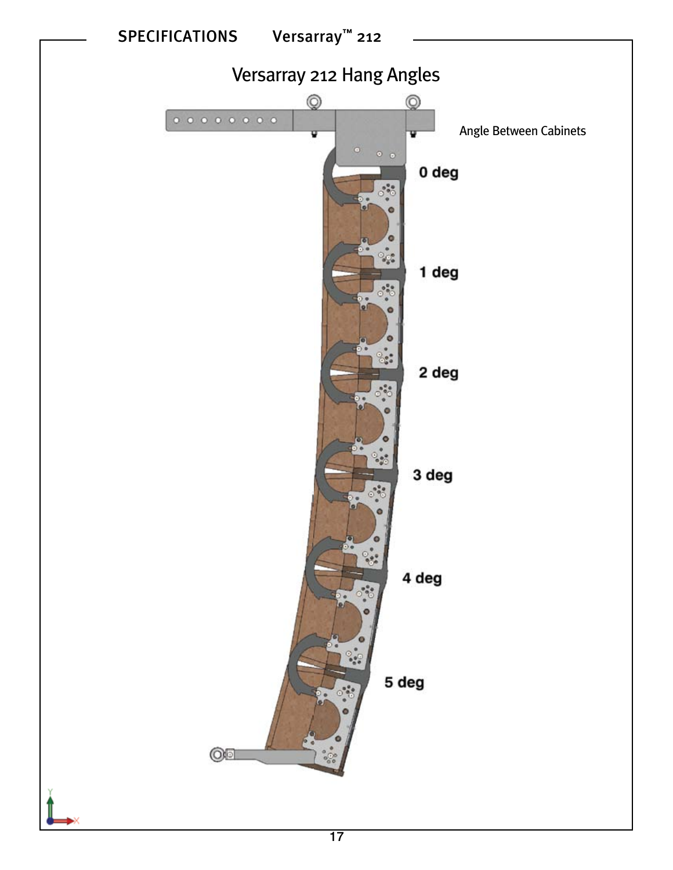

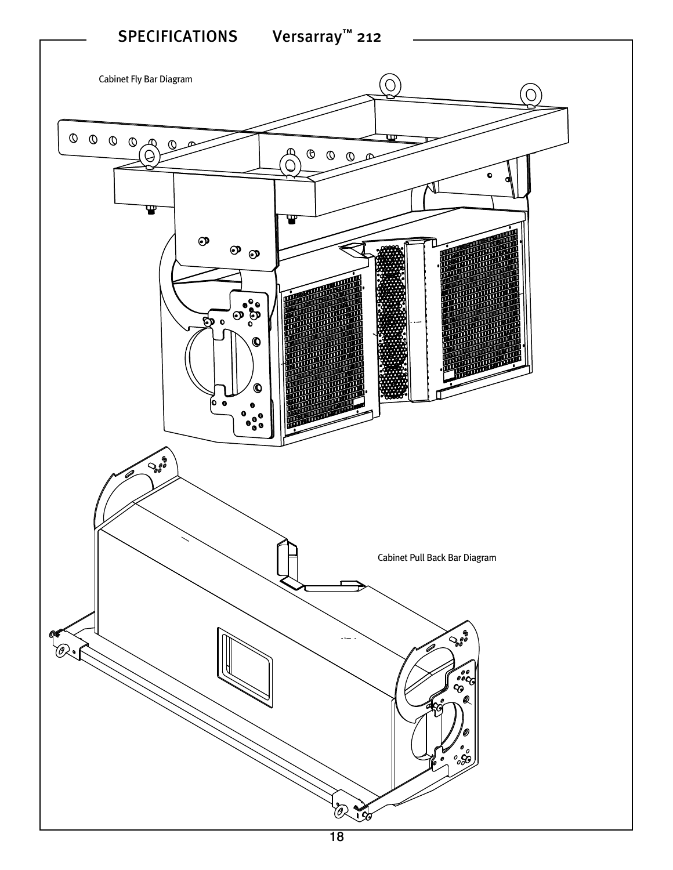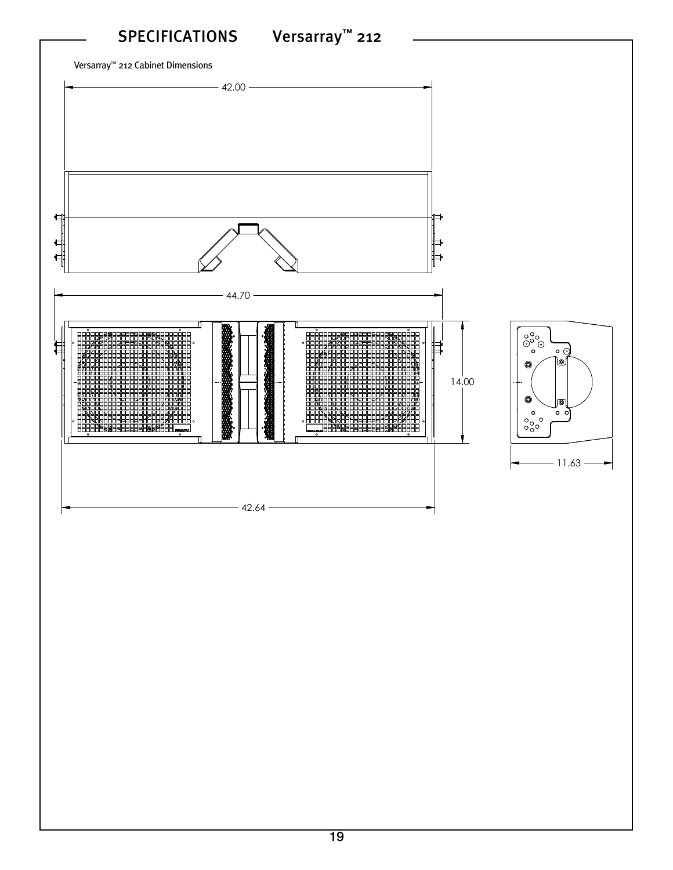